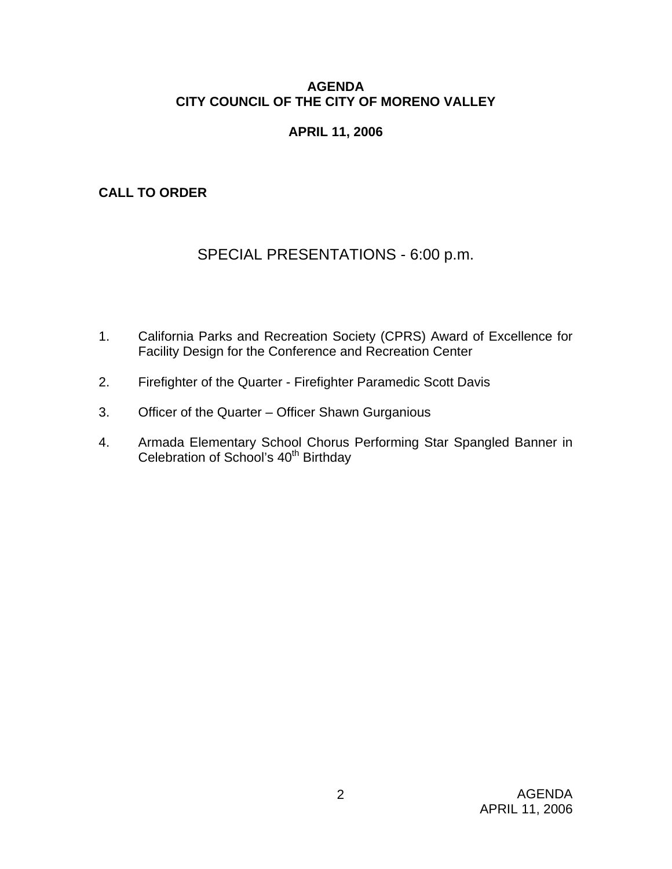## **AGENDA CITY COUNCIL OF THE CITY OF MORENO VALLEY**

# **APRIL 11, 2006**

# **CALL TO ORDER**

# SPECIAL PRESENTATIONS - 6:00 p.m.

- 1. California Parks and Recreation Society (CPRS) Award of Excellence for Facility Design for the Conference and Recreation Center
- 2. Firefighter of the Quarter Firefighter Paramedic Scott Davis
- 3. Officer of the Quarter Officer Shawn Gurganious
- 4. Armada Elementary School Chorus Performing Star Spangled Banner in Celebration of School's 40<sup>th</sup> Birthday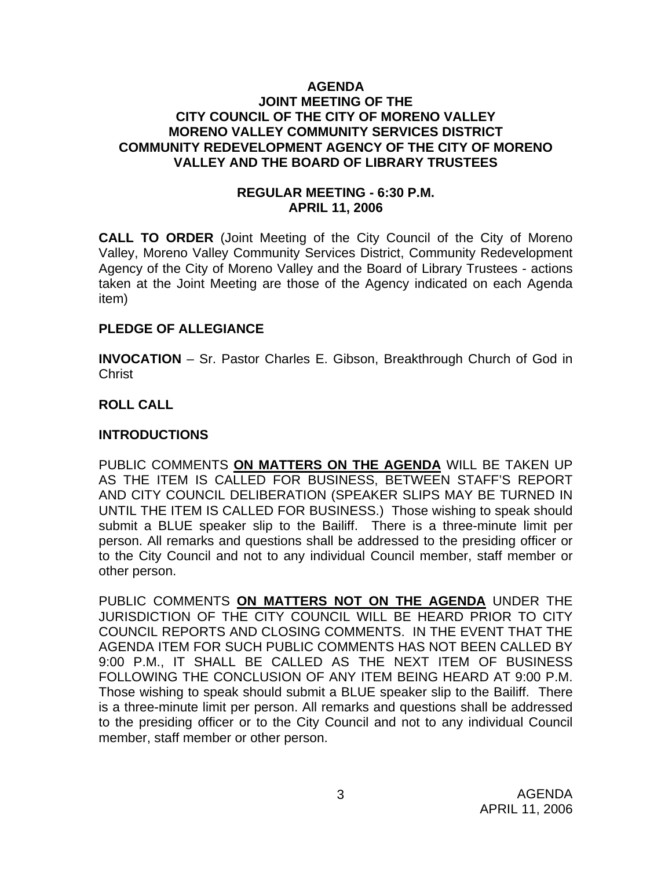#### **AGENDA JOINT MEETING OF THE CITY COUNCIL OF THE CITY OF MORENO VALLEY MORENO VALLEY COMMUNITY SERVICES DISTRICT COMMUNITY REDEVELOPMENT AGENCY OF THE CITY OF MORENO VALLEY AND THE BOARD OF LIBRARY TRUSTEES**

## **REGULAR MEETING - 6:30 P.M. APRIL 11, 2006**

**CALL TO ORDER** (Joint Meeting of the City Council of the City of Moreno Valley, Moreno Valley Community Services District, Community Redevelopment Agency of the City of Moreno Valley and the Board of Library Trustees - actions taken at the Joint Meeting are those of the Agency indicated on each Agenda item)

## **PLEDGE OF ALLEGIANCE**

**INVOCATION** – Sr. Pastor Charles E. Gibson, Breakthrough Church of God in **Christ** 

## **ROLL CALL**

## **INTRODUCTIONS**

PUBLIC COMMENTS **ON MATTERS ON THE AGENDA** WILL BE TAKEN UP AS THE ITEM IS CALLED FOR BUSINESS, BETWEEN STAFF'S REPORT AND CITY COUNCIL DELIBERATION (SPEAKER SLIPS MAY BE TURNED IN UNTIL THE ITEM IS CALLED FOR BUSINESS.) Those wishing to speak should submit a BLUE speaker slip to the Bailiff. There is a three-minute limit per person. All remarks and questions shall be addressed to the presiding officer or to the City Council and not to any individual Council member, staff member or other person.

PUBLIC COMMENTS **ON MATTERS NOT ON THE AGENDA** UNDER THE JURISDICTION OF THE CITY COUNCIL WILL BE HEARD PRIOR TO CITY COUNCIL REPORTS AND CLOSING COMMENTS. IN THE EVENT THAT THE AGENDA ITEM FOR SUCH PUBLIC COMMENTS HAS NOT BEEN CALLED BY 9:00 P.M., IT SHALL BE CALLED AS THE NEXT ITEM OF BUSINESS FOLLOWING THE CONCLUSION OF ANY ITEM BEING HEARD AT 9:00 P.M. Those wishing to speak should submit a BLUE speaker slip to the Bailiff. There is a three-minute limit per person. All remarks and questions shall be addressed to the presiding officer or to the City Council and not to any individual Council member, staff member or other person.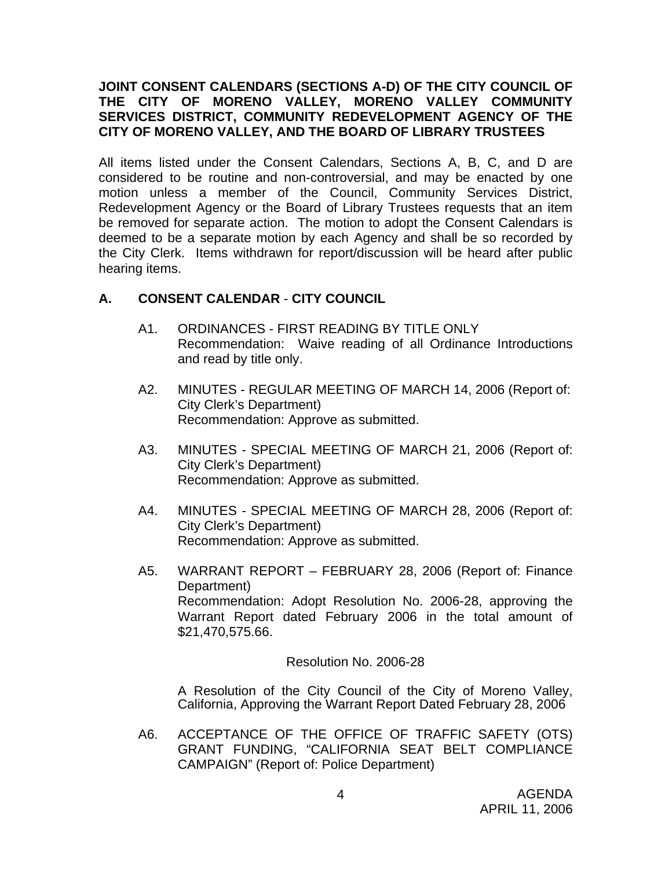## **JOINT CONSENT CALENDARS (SECTIONS A-D) OF THE CITY COUNCIL OF THE CITY OF MORENO VALLEY, MORENO VALLEY COMMUNITY SERVICES DISTRICT, COMMUNITY REDEVELOPMENT AGENCY OF THE CITY OF MORENO VALLEY, AND THE BOARD OF LIBRARY TRUSTEES**

All items listed under the Consent Calendars, Sections A, B, C, and D are considered to be routine and non-controversial, and may be enacted by one motion unless a member of the Council, Community Services District, Redevelopment Agency or the Board of Library Trustees requests that an item be removed for separate action. The motion to adopt the Consent Calendars is deemed to be a separate motion by each Agency and shall be so recorded by the City Clerk. Items withdrawn for report/discussion will be heard after public hearing items.

# **A. CONSENT CALENDAR** - **CITY COUNCIL**

- A1. ORDINANCES FIRST READING BY TITLE ONLY Recommendation: Waive reading of all Ordinance Introductions and read by title only.
- A2. MINUTES REGULAR MEETING OF MARCH 14, 2006 (Report of: City Clerk's Department) Recommendation: Approve as submitted.
- A3. MINUTES SPECIAL MEETING OF MARCH 21, 2006 (Report of: City Clerk's Department) Recommendation: Approve as submitted.
- A4. MINUTES SPECIAL MEETING OF MARCH 28, 2006 (Report of: City Clerk's Department) Recommendation: Approve as submitted.
- A5. WARRANT REPORT FEBRUARY 28, 2006 (Report of: Finance Department) Recommendation: Adopt Resolution No. 2006-28, approving the Warrant Report dated February 2006 in the total amount of \$21,470,575.66.

Resolution No. 2006-28

A Resolution of the City Council of the City of Moreno Valley, California, Approving the Warrant Report Dated February 28, 2006

A6. ACCEPTANCE OF THE OFFICE OF TRAFFIC SAFETY (OTS) GRANT FUNDING, "CALIFORNIA SEAT BELT COMPLIANCE CAMPAIGN" (Report of: Police Department)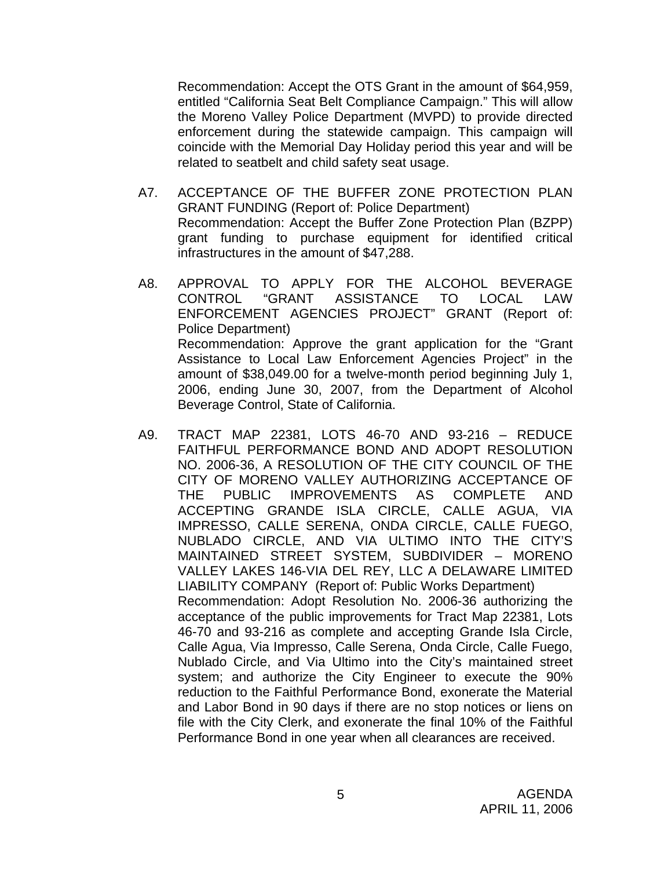Recommendation: Accept the OTS Grant in the amount of \$64,959, entitled "California Seat Belt Compliance Campaign." This will allow the Moreno Valley Police Department (MVPD) to provide directed enforcement during the statewide campaign. This campaign will coincide with the Memorial Day Holiday period this year and will be related to seatbelt and child safety seat usage.

- A7. ACCEPTANCE OF THE BUFFER ZONE PROTECTION PLAN GRANT FUNDING (Report of: Police Department) Recommendation: Accept the Buffer Zone Protection Plan (BZPP) grant funding to purchase equipment for identified critical infrastructures in the amount of \$47,288.
- A8. APPROVAL TO APPLY FOR THE ALCOHOL BEVERAGE CONTROL "GRANT ASSISTANCE TO LOCAL LAW ENFORCEMENT AGENCIES PROJECT" GRANT (Report of: Police Department) Recommendation: Approve the grant application for the "Grant Assistance to Local Law Enforcement Agencies Project" in the amount of \$38,049.00 for a twelve-month period beginning July 1, 2006, ending June 30, 2007, from the Department of Alcohol Beverage Control, State of California.
- A9. TRACT MAP 22381, LOTS 46-70 AND 93-216 REDUCE FAITHFUL PERFORMANCE BOND AND ADOPT RESOLUTION NO. 2006-36, A RESOLUTION OF THE CITY COUNCIL OF THE CITY OF MORENO VALLEY AUTHORIZING ACCEPTANCE OF THE PUBLIC IMPROVEMENTS AS COMPLETE AND ACCEPTING GRANDE ISLA CIRCLE, CALLE AGUA, VIA IMPRESSO, CALLE SERENA, ONDA CIRCLE, CALLE FUEGO, NUBLADO CIRCLE, AND VIA ULTIMO INTO THE CITY'S MAINTAINED STREET SYSTEM, SUBDIVIDER – MORENO VALLEY LAKES 146-VIA DEL REY, LLC A DELAWARE LIMITED LIABILITY COMPANY (Report of: Public Works Department) Recommendation: Adopt Resolution No. 2006-36 authorizing the acceptance of the public improvements for Tract Map 22381, Lots 46-70 and 93-216 as complete and accepting Grande Isla Circle, Calle Agua, Via Impresso, Calle Serena, Onda Circle, Calle Fuego, Nublado Circle, and Via Ultimo into the City's maintained street system; and authorize the City Engineer to execute the 90% reduction to the Faithful Performance Bond, exonerate the Material and Labor Bond in 90 days if there are no stop notices or liens on file with the City Clerk, and exonerate the final 10% of the Faithful Performance Bond in one year when all clearances are received.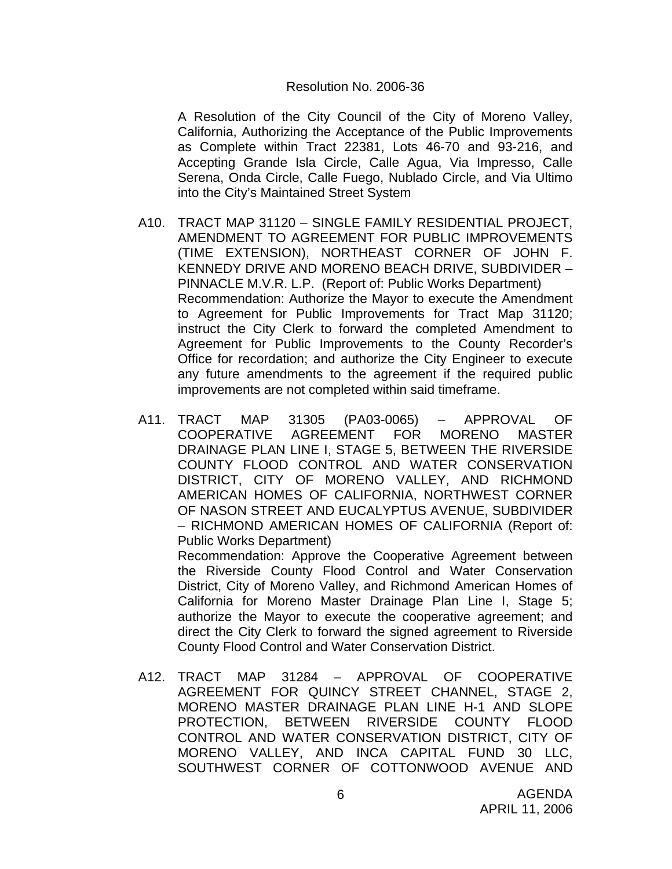#### Resolution No. 2006-36

 A Resolution of the City Council of the City of Moreno Valley, California, Authorizing the Acceptance of the Public Improvements as Complete within Tract 22381, Lots 46-70 and 93-216, and Accepting Grande Isla Circle, Calle Agua, Via Impresso, Calle Serena, Onda Circle, Calle Fuego, Nublado Circle, and Via Ultimo into the City's Maintained Street System

- A10. TRACT MAP 31120 SINGLE FAMILY RESIDENTIAL PROJECT, AMENDMENT TO AGREEMENT FOR PUBLIC IMPROVEMENTS (TIME EXTENSION), NORTHEAST CORNER OF JOHN F. KENNEDY DRIVE AND MORENO BEACH DRIVE, SUBDIVIDER – PINNACLE M.V.R. L.P. (Report of: Public Works Department) Recommendation: Authorize the Mayor to execute the Amendment to Agreement for Public Improvements for Tract Map 31120; instruct the City Clerk to forward the completed Amendment to Agreement for Public Improvements to the County Recorder's Office for recordation; and authorize the City Engineer to execute any future amendments to the agreement if the required public improvements are not completed within said timeframe.
- A11. TRACT MAP 31305 (PA03-0065) APPROVAL OF COOPERATIVE AGREEMENT FOR MORENO MASTER DRAINAGE PLAN LINE I, STAGE 5, BETWEEN THE RIVERSIDE COUNTY FLOOD CONTROL AND WATER CONSERVATION DISTRICT, CITY OF MORENO VALLEY, AND RICHMOND AMERICAN HOMES OF CALIFORNIA, NORTHWEST CORNER OF NASON STREET AND EUCALYPTUS AVENUE, SUBDIVIDER – RICHMOND AMERICAN HOMES OF CALIFORNIA (Report of: Public Works Department)

 Recommendation: Approve the Cooperative Agreement between the Riverside County Flood Control and Water Conservation District, City of Moreno Valley, and Richmond American Homes of California for Moreno Master Drainage Plan Line I, Stage 5; authorize the Mayor to execute the cooperative agreement; and direct the City Clerk to forward the signed agreement to Riverside County Flood Control and Water Conservation District.

A12. TRACT MAP 31284 – APPROVAL OF COOPERATIVE AGREEMENT FOR QUINCY STREET CHANNEL, STAGE 2, MORENO MASTER DRAINAGE PLAN LINE H-1 AND SLOPE PROTECTION, BETWEEN RIVERSIDE COUNTY FLOOD CONTROL AND WATER CONSERVATION DISTRICT, CITY OF MORENO VALLEY, AND INCA CAPITAL FUND 30 LLC, SOUTHWEST CORNER OF COTTONWOOD AVENUE AND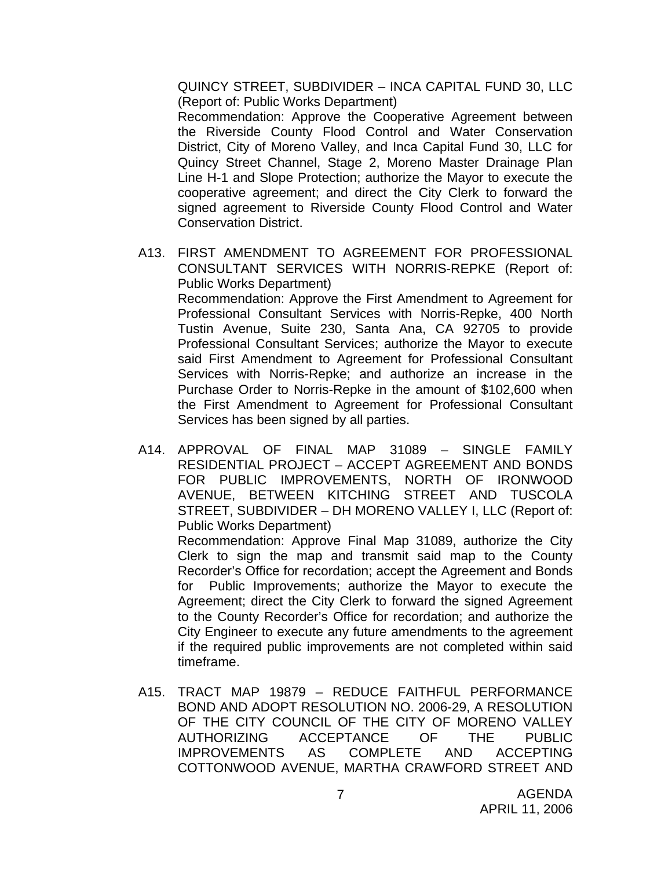QUINCY STREET, SUBDIVIDER – INCA CAPITAL FUND 30, LLC (Report of: Public Works Department)

 Recommendation: Approve the Cooperative Agreement between the Riverside County Flood Control and Water Conservation District, City of Moreno Valley, and Inca Capital Fund 30, LLC for Quincy Street Channel, Stage 2, Moreno Master Drainage Plan Line H-1 and Slope Protection; authorize the Mayor to execute the cooperative agreement; and direct the City Clerk to forward the signed agreement to Riverside County Flood Control and Water Conservation District.

- A13. FIRST AMENDMENT TO AGREEMENT FOR PROFESSIONAL CONSULTANT SERVICES WITH NORRIS-REPKE (Report of: Public Works Department) Recommendation: Approve the First Amendment to Agreement for Professional Consultant Services with Norris-Repke, 400 North Tustin Avenue, Suite 230, Santa Ana, CA 92705 to provide Professional Consultant Services; authorize the Mayor to execute said First Amendment to Agreement for Professional Consultant Services with Norris-Repke; and authorize an increase in the Purchase Order to Norris-Repke in the amount of \$102,600 when the First Amendment to Agreement for Professional Consultant Services has been signed by all parties.
- A14. APPROVAL OF FINAL MAP 31089 SINGLE FAMILY RESIDENTIAL PROJECT – ACCEPT AGREEMENT AND BONDS FOR PUBLIC IMPROVEMENTS, NORTH OF IRONWOOD AVENUE, BETWEEN KITCHING STREET AND TUSCOLA STREET, SUBDIVIDER – DH MORENO VALLEY I, LLC (Report of: Public Works Department)

 Recommendation: Approve Final Map 31089, authorize the City Clerk to sign the map and transmit said map to the County Recorder's Office for recordation; accept the Agreement and Bonds for Public Improvements; authorize the Mayor to execute the Agreement; direct the City Clerk to forward the signed Agreement to the County Recorder's Office for recordation; and authorize the City Engineer to execute any future amendments to the agreement if the required public improvements are not completed within said timeframe.

A15. TRACT MAP 19879 – REDUCE FAITHFUL PERFORMANCE BOND AND ADOPT RESOLUTION NO. 2006-29, A RESOLUTION OF THE CITY COUNCIL OF THE CITY OF MORENO VALLEY AUTHORIZING ACCEPTANCE OF THE PUBLIC IMPROVEMENTS AS COMPLETE AND ACCEPTING COTTONWOOD AVENUE, MARTHA CRAWFORD STREET AND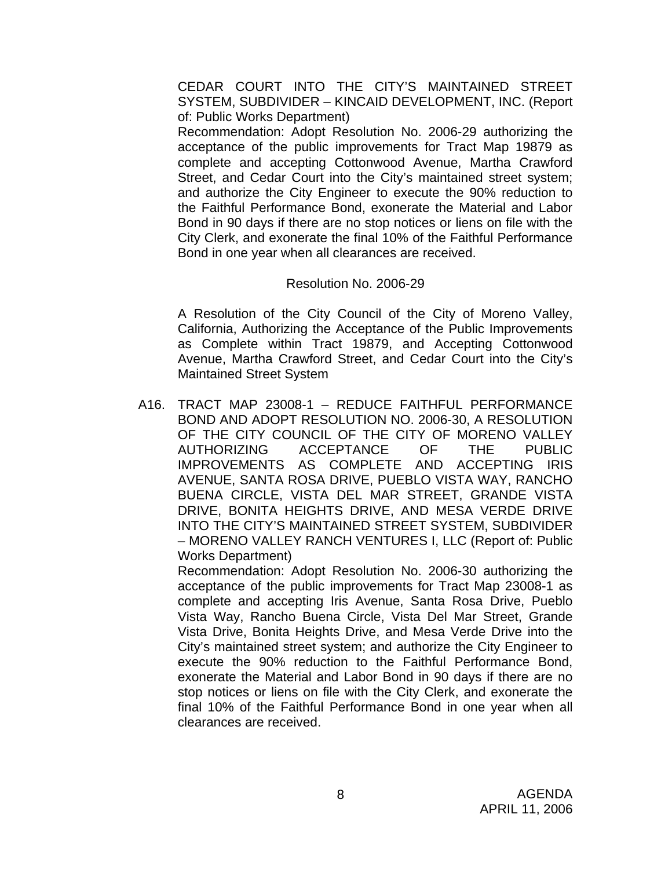CEDAR COURT INTO THE CITY'S MAINTAINED STREET SYSTEM, SUBDIVIDER – KINCAID DEVELOPMENT, INC. (Report of: Public Works Department)

 Recommendation: Adopt Resolution No. 2006-29 authorizing the acceptance of the public improvements for Tract Map 19879 as complete and accepting Cottonwood Avenue, Martha Crawford Street, and Cedar Court into the City's maintained street system; and authorize the City Engineer to execute the 90% reduction to the Faithful Performance Bond, exonerate the Material and Labor Bond in 90 days if there are no stop notices or liens on file with the City Clerk, and exonerate the final 10% of the Faithful Performance Bond in one year when all clearances are received.

#### Resolution No. 2006-29

A Resolution of the City Council of the City of Moreno Valley, California, Authorizing the Acceptance of the Public Improvements as Complete within Tract 19879, and Accepting Cottonwood Avenue, Martha Crawford Street, and Cedar Court into the City's Maintained Street System

A16. TRACT MAP 23008-1 – REDUCE FAITHFUL PERFORMANCE BOND AND ADOPT RESOLUTION NO. 2006-30, A RESOLUTION OF THE CITY COUNCIL OF THE CITY OF MORENO VALLEY AUTHORIZING ACCEPTANCE OF THE PUBLIC IMPROVEMENTS AS COMPLETE AND ACCEPTING IRIS AVENUE, SANTA ROSA DRIVE, PUEBLO VISTA WAY, RANCHO BUENA CIRCLE, VISTA DEL MAR STREET, GRANDE VISTA DRIVE, BONITA HEIGHTS DRIVE, AND MESA VERDE DRIVE INTO THE CITY'S MAINTAINED STREET SYSTEM, SUBDIVIDER – MORENO VALLEY RANCH VENTURES I, LLC (Report of: Public Works Department)

 Recommendation: Adopt Resolution No. 2006-30 authorizing the acceptance of the public improvements for Tract Map 23008-1 as complete and accepting Iris Avenue, Santa Rosa Drive, Pueblo Vista Way, Rancho Buena Circle, Vista Del Mar Street, Grande Vista Drive, Bonita Heights Drive, and Mesa Verde Drive into the City's maintained street system; and authorize the City Engineer to execute the 90% reduction to the Faithful Performance Bond, exonerate the Material and Labor Bond in 90 days if there are no stop notices or liens on file with the City Clerk, and exonerate the final 10% of the Faithful Performance Bond in one year when all clearances are received.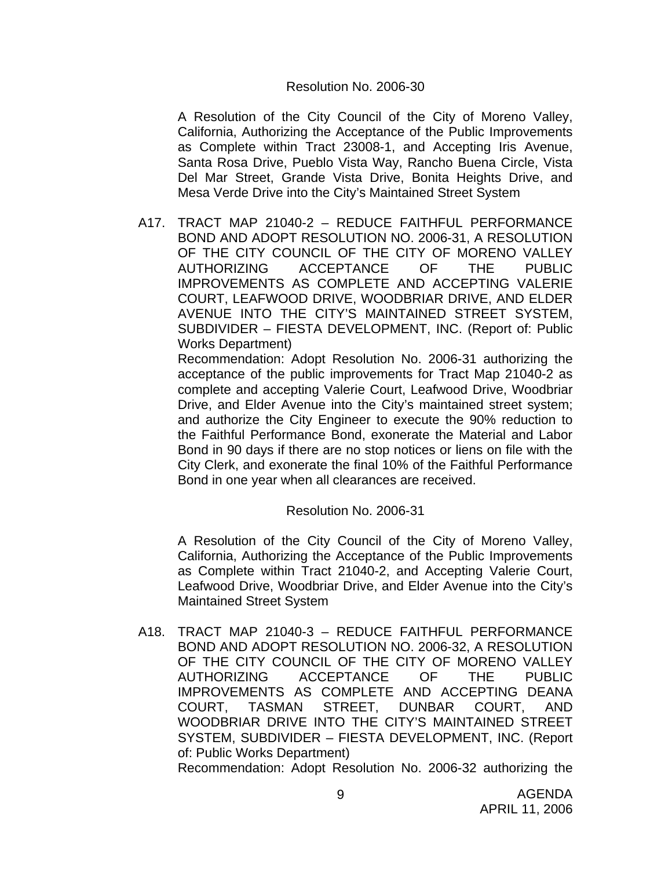#### Resolution No. 2006-30

A Resolution of the City Council of the City of Moreno Valley, California, Authorizing the Acceptance of the Public Improvements as Complete within Tract 23008-1, and Accepting Iris Avenue, Santa Rosa Drive, Pueblo Vista Way, Rancho Buena Circle, Vista Del Mar Street, Grande Vista Drive, Bonita Heights Drive, and Mesa Verde Drive into the City's Maintained Street System

A17. TRACT MAP 21040-2 – REDUCE FAITHFUL PERFORMANCE BOND AND ADOPT RESOLUTION NO. 2006-31, A RESOLUTION OF THE CITY COUNCIL OF THE CITY OF MORENO VALLEY AUTHORIZING ACCEPTANCE OF THE PUBLIC IMPROVEMENTS AS COMPLETE AND ACCEPTING VALERIE COURT, LEAFWOOD DRIVE, WOODBRIAR DRIVE, AND ELDER AVENUE INTO THE CITY'S MAINTAINED STREET SYSTEM, SUBDIVIDER – FIESTA DEVELOPMENT, INC. (Report of: Public Works Department)

 Recommendation: Adopt Resolution No. 2006-31 authorizing the acceptance of the public improvements for Tract Map 21040-2 as complete and accepting Valerie Court, Leafwood Drive, Woodbriar Drive, and Elder Avenue into the City's maintained street system; and authorize the City Engineer to execute the 90% reduction to the Faithful Performance Bond, exonerate the Material and Labor Bond in 90 days if there are no stop notices or liens on file with the City Clerk, and exonerate the final 10% of the Faithful Performance Bond in one year when all clearances are received.

## Resolution No. 2006-31

A Resolution of the City Council of the City of Moreno Valley, California, Authorizing the Acceptance of the Public Improvements as Complete within Tract 21040-2, and Accepting Valerie Court, Leafwood Drive, Woodbriar Drive, and Elder Avenue into the City's Maintained Street System

A18. TRACT MAP 21040-3 – REDUCE FAITHFUL PERFORMANCE BOND AND ADOPT RESOLUTION NO. 2006-32, A RESOLUTION OF THE CITY COUNCIL OF THE CITY OF MORENO VALLEY AUTHORIZING ACCEPTANCE OF THE PUBLIC IMPROVEMENTS AS COMPLETE AND ACCEPTING DEANA COURT, TASMAN STREET, DUNBAR COURT, AND WOODBRIAR DRIVE INTO THE CITY'S MAINTAINED STREET SYSTEM, SUBDIVIDER – FIESTA DEVELOPMENT, INC. (Report of: Public Works Department)

Recommendation: Adopt Resolution No. 2006-32 authorizing the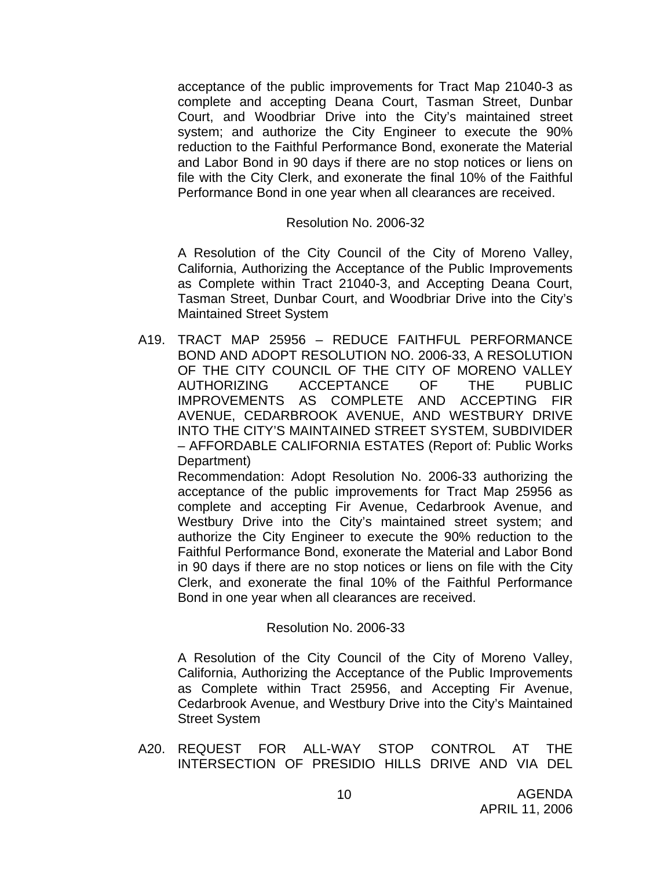acceptance of the public improvements for Tract Map 21040-3 as complete and accepting Deana Court, Tasman Street, Dunbar Court, and Woodbriar Drive into the City's maintained street system; and authorize the City Engineer to execute the 90% reduction to the Faithful Performance Bond, exonerate the Material and Labor Bond in 90 days if there are no stop notices or liens on file with the City Clerk, and exonerate the final 10% of the Faithful Performance Bond in one year when all clearances are received.

#### Resolution No. 2006-32

 A Resolution of the City Council of the City of Moreno Valley, California, Authorizing the Acceptance of the Public Improvements as Complete within Tract 21040-3, and Accepting Deana Court, Tasman Street, Dunbar Court, and Woodbriar Drive into the City's Maintained Street System

A19. TRACT MAP 25956 – REDUCE FAITHFUL PERFORMANCE BOND AND ADOPT RESOLUTION NO. 2006-33, A RESOLUTION OF THE CITY COUNCIL OF THE CITY OF MORENO VALLEY AUTHORIZING ACCEPTANCE OF THE PUBLIC IMPROVEMENTS AS COMPLETE AND ACCEPTING FIR AVENUE, CEDARBROOK AVENUE, AND WESTBURY DRIVE INTO THE CITY'S MAINTAINED STREET SYSTEM, SUBDIVIDER – AFFORDABLE CALIFORNIA ESTATES (Report of: Public Works Department)

 Recommendation: Adopt Resolution No. 2006-33 authorizing the acceptance of the public improvements for Tract Map 25956 as complete and accepting Fir Avenue, Cedarbrook Avenue, and Westbury Drive into the City's maintained street system; and authorize the City Engineer to execute the 90% reduction to the Faithful Performance Bond, exonerate the Material and Labor Bond in 90 days if there are no stop notices or liens on file with the City Clerk, and exonerate the final 10% of the Faithful Performance Bond in one year when all clearances are received.

#### Resolution No. 2006-33

A Resolution of the City Council of the City of Moreno Valley, California, Authorizing the Acceptance of the Public Improvements as Complete within Tract 25956, and Accepting Fir Avenue, Cedarbrook Avenue, and Westbury Drive into the City's Maintained Street System

A20. REQUEST FOR ALL-WAY STOP CONTROL AT THE INTERSECTION OF PRESIDIO HILLS DRIVE AND VIA DEL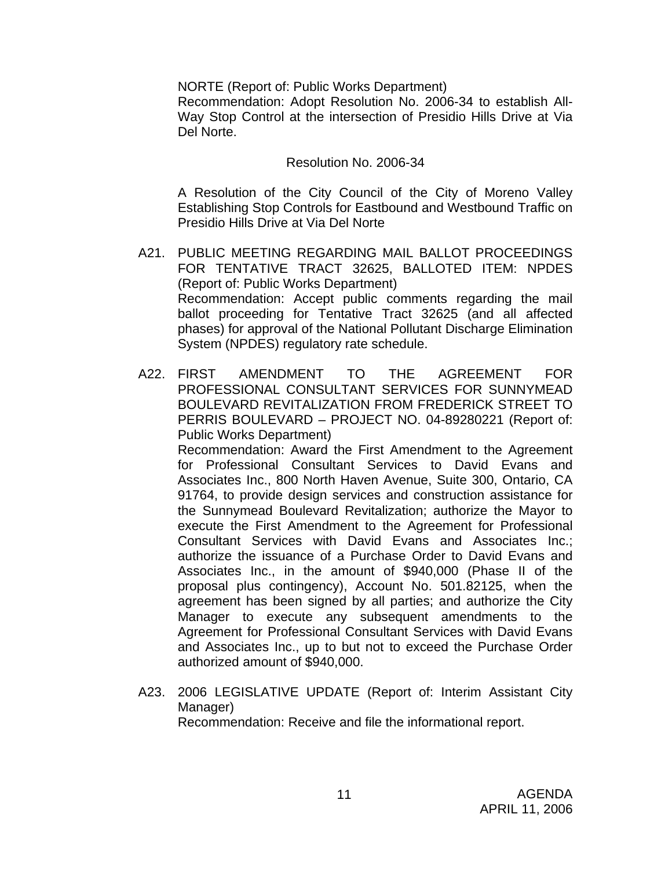NORTE (Report of: Public Works Department)

 Recommendation: Adopt Resolution No. 2006-34 to establish All-Way Stop Control at the intersection of Presidio Hills Drive at Via Del Norte.

#### Resolution No. 2006-34

 A Resolution of the City Council of the City of Moreno Valley Establishing Stop Controls for Eastbound and Westbound Traffic on Presidio Hills Drive at Via Del Norte

- A21. PUBLIC MEETING REGARDING MAIL BALLOT PROCEEDINGS FOR TENTATIVE TRACT 32625, BALLOTED ITEM: NPDES (Report of: Public Works Department) Recommendation: Accept public comments regarding the mail ballot proceeding for Tentative Tract 32625 (and all affected phases) for approval of the National Pollutant Discharge Elimination System (NPDES) regulatory rate schedule.
- A22. FIRST AMENDMENT TO THE AGREEMENT FOR PROFESSIONAL CONSULTANT SERVICES FOR SUNNYMEAD BOULEVARD REVITALIZATION FROM FREDERICK STREET TO PERRIS BOULEVARD – PROJECT NO. 04-89280221 (Report of: Public Works Department) Recommendation: Award the First Amendment to the Agreement for Professional Consultant Services to David Evans and Associates Inc., 800 North Haven Avenue, Suite 300, Ontario, CA 91764, to provide design services and construction assistance for the Sunnymead Boulevard Revitalization; authorize the Mayor to execute the First Amendment to the Agreement for Professional Consultant Services with David Evans and Associates Inc.; authorize the issuance of a Purchase Order to David Evans and Associates Inc., in the amount of \$940,000 (Phase II of the proposal plus contingency), Account No. 501.82125, when the agreement has been signed by all parties; and authorize the City Manager to execute any subsequent amendments to the Agreement for Professional Consultant Services with David Evans and Associates Inc., up to but not to exceed the Purchase Order authorized amount of \$940,000.
- A23. 2006 LEGISLATIVE UPDATE (Report of: Interim Assistant City Manager) Recommendation: Receive and file the informational report.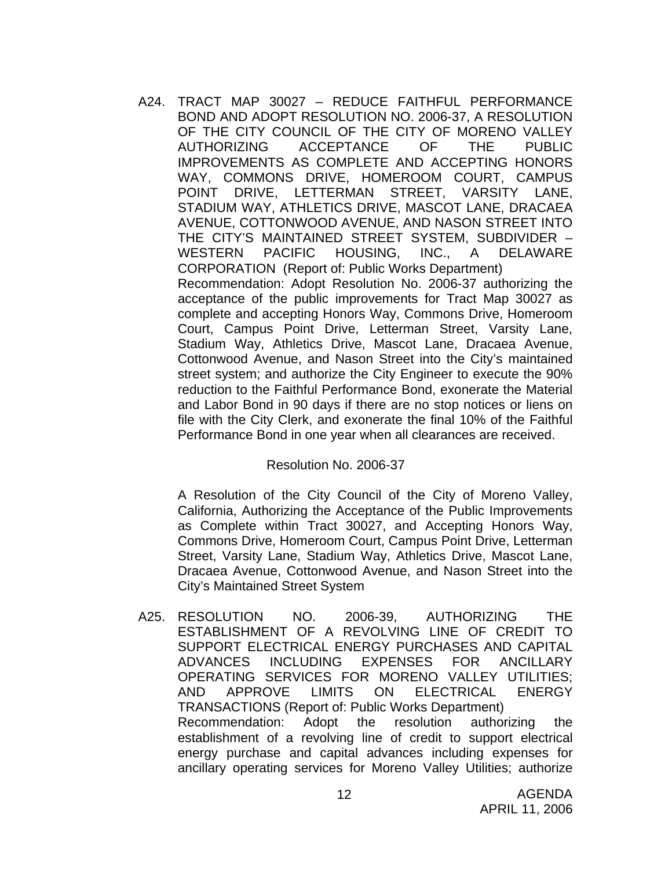A24. TRACT MAP 30027 – REDUCE FAITHFUL PERFORMANCE BOND AND ADOPT RESOLUTION NO. 2006-37, A RESOLUTION OF THE CITY COUNCIL OF THE CITY OF MORENO VALLEY AUTHORIZING ACCEPTANCE OF THE PUBLIC IMPROVEMENTS AS COMPLETE AND ACCEPTING HONORS WAY, COMMONS DRIVE, HOMEROOM COURT, CAMPUS POINT DRIVE, LETTERMAN STREET, VARSITY LANE, STADIUM WAY, ATHLETICS DRIVE, MASCOT LANE, DRACAEA AVENUE, COTTONWOOD AVENUE, AND NASON STREET INTO THE CITY'S MAINTAINED STREET SYSTEM, SUBDIVIDER – WESTERN PACIFIC HOUSING, INC., A DELAWARE CORPORATION (Report of: Public Works Department) Recommendation: Adopt Resolution No. 2006-37 authorizing the acceptance of the public improvements for Tract Map 30027 as complete and accepting Honors Way, Commons Drive, Homeroom Court, Campus Point Drive, Letterman Street, Varsity Lane, Stadium Way, Athletics Drive, Mascot Lane, Dracaea Avenue, Cottonwood Avenue, and Nason Street into the City's maintained street system; and authorize the City Engineer to execute the 90% reduction to the Faithful Performance Bond, exonerate the Material and Labor Bond in 90 days if there are no stop notices or liens on file with the City Clerk, and exonerate the final 10% of the Faithful Performance Bond in one year when all clearances are received.

Resolution No. 2006-37

A Resolution of the City Council of the City of Moreno Valley, California, Authorizing the Acceptance of the Public Improvements as Complete within Tract 30027, and Accepting Honors Way, Commons Drive, Homeroom Court, Campus Point Drive, Letterman Street, Varsity Lane, Stadium Way, Athletics Drive, Mascot Lane, Dracaea Avenue, Cottonwood Avenue, and Nason Street into the City's Maintained Street System

A25. RESOLUTION NO. 2006-39, AUTHORIZING THE ESTABLISHMENT OF A REVOLVING LINE OF CREDIT TO SUPPORT ELECTRICAL ENERGY PURCHASES AND CAPITAL ADVANCES INCLUDING EXPENSES FOR ANCILLARY OPERATING SERVICES FOR MORENO VALLEY UTILITIES; AND APPROVE LIMITS ON ELECTRICAL ENERGY TRANSACTIONS (Report of: Public Works Department) Recommendation: Adopt the resolution authorizing the establishment of a revolving line of credit to support electrical energy purchase and capital advances including expenses for ancillary operating services for Moreno Valley Utilities; authorize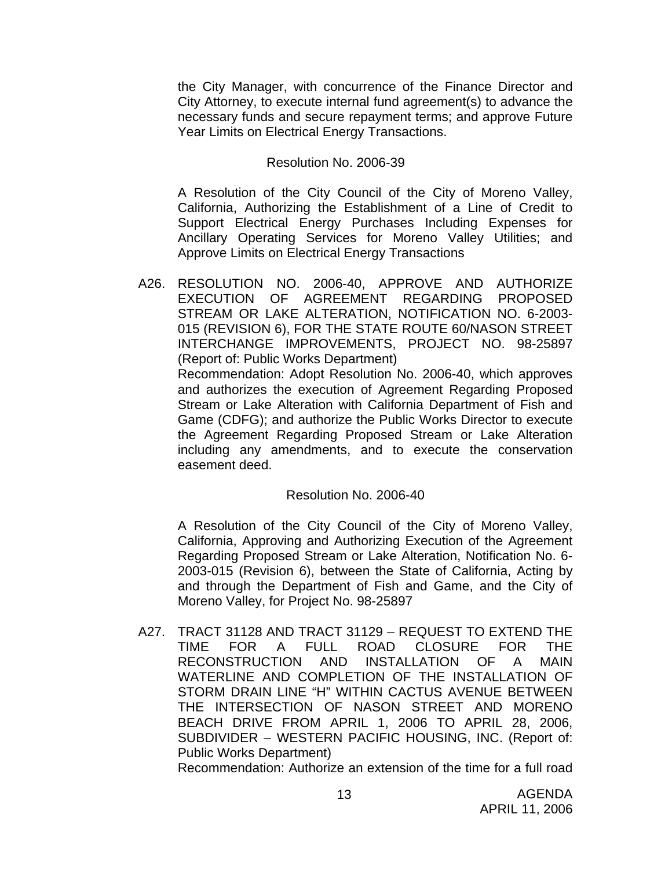the City Manager, with concurrence of the Finance Director and City Attorney, to execute internal fund agreement(s) to advance the necessary funds and secure repayment terms; and approve Future Year Limits on Electrical Energy Transactions.

#### Resolution No. 2006-39

A Resolution of the City Council of the City of Moreno Valley, California, Authorizing the Establishment of a Line of Credit to Support Electrical Energy Purchases Including Expenses for Ancillary Operating Services for Moreno Valley Utilities; and Approve Limits on Electrical Energy Transactions

A26. RESOLUTION NO. 2006-40, APPROVE AND AUTHORIZE EXECUTION OF AGREEMENT REGARDING PROPOSED STREAM OR LAKE ALTERATION, NOTIFICATION NO. 6-2003- 015 (REVISION 6), FOR THE STATE ROUTE 60/NASON STREET INTERCHANGE IMPROVEMENTS, PROJECT NO. 98-25897 (Report of: Public Works Department)

 Recommendation: Adopt Resolution No. 2006-40, which approves and authorizes the execution of Agreement Regarding Proposed Stream or Lake Alteration with California Department of Fish and Game (CDFG); and authorize the Public Works Director to execute the Agreement Regarding Proposed Stream or Lake Alteration including any amendments, and to execute the conservation easement deed.

## Resolution No. 2006-40

A Resolution of the City Council of the City of Moreno Valley, California, Approving and Authorizing Execution of the Agreement Regarding Proposed Stream or Lake Alteration, Notification No. 6- 2003-015 (Revision 6), between the State of California, Acting by and through the Department of Fish and Game, and the City of Moreno Valley, for Project No. 98-25897

A27. TRACT 31128 AND TRACT 31129 – REQUEST TO EXTEND THE TIME FOR A FULL ROAD CLOSURE FOR THE RECONSTRUCTION AND INSTALLATION OF A MAIN WATERLINE AND COMPLETION OF THE INSTALLATION OF STORM DRAIN LINE "H" WITHIN CACTUS AVENUE BETWEEN THE INTERSECTION OF NASON STREET AND MORENO BEACH DRIVE FROM APRIL 1, 2006 TO APRIL 28, 2006, SUBDIVIDER – WESTERN PACIFIC HOUSING, INC. (Report of: Public Works Department)

Recommendation: Authorize an extension of the time for a full road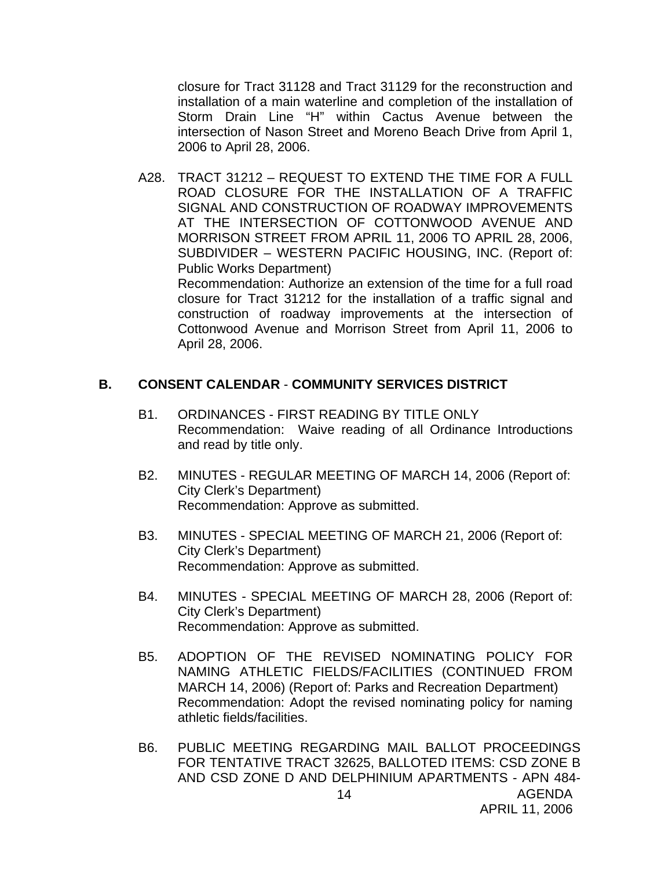closure for Tract 31128 and Tract 31129 for the reconstruction and installation of a main waterline and completion of the installation of Storm Drain Line "H" within Cactus Avenue between the intersection of Nason Street and Moreno Beach Drive from April 1, 2006 to April 28, 2006.

A28. TRACT 31212 – REQUEST TO EXTEND THE TIME FOR A FULL ROAD CLOSURE FOR THE INSTALLATION OF A TRAFFIC SIGNAL AND CONSTRUCTION OF ROADWAY IMPROVEMENTS AT THE INTERSECTION OF COTTONWOOD AVENUE AND MORRISON STREET FROM APRIL 11, 2006 TO APRIL 28, 2006, SUBDIVIDER – WESTERN PACIFIC HOUSING, INC. (Report of: Public Works Department) Recommendation: Authorize an extension of the time for a full road

closure for Tract 31212 for the installation of a traffic signal and construction of roadway improvements at the intersection of Cottonwood Avenue and Morrison Street from April 11, 2006 to April 28, 2006.

#### **B. CONSENT CALENDAR** - **COMMUNITY SERVICES DISTRICT**

- B1. ORDINANCES FIRST READING BY TITLE ONLY Recommendation: Waive reading of all Ordinance Introductions and read by title only.
- B2. MINUTES REGULAR MEETING OF MARCH 14, 2006 (Report of: City Clerk's Department) Recommendation: Approve as submitted.
- B3. MINUTES SPECIAL MEETING OF MARCH 21, 2006 (Report of: City Clerk's Department) Recommendation: Approve as submitted.
- B4. MINUTES SPECIAL MEETING OF MARCH 28, 2006 (Report of: City Clerk's Department) Recommendation: Approve as submitted.
- B5. ADOPTION OF THE REVISED NOMINATING POLICY FOR NAMING ATHLETIC FIELDS/FACILITIES (CONTINUED FROM MARCH 14, 2006) (Report of: Parks and Recreation Department) Recommendation: Adopt the revised nominating policy for naming athletic fields/facilities.
- AGENDA B6. PUBLIC MEETING REGARDING MAIL BALLOT PROCEEDINGS FOR TENTATIVE TRACT 32625, BALLOTED ITEMS: CSD ZONE B AND CSD ZONE D AND DELPHINIUM APARTMENTS - APN 484-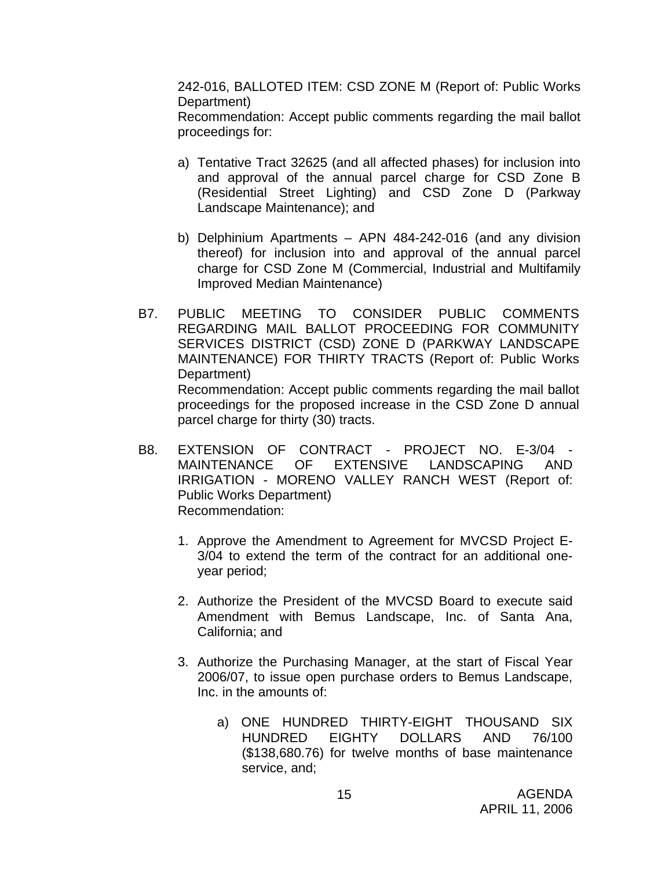242-016, BALLOTED ITEM: CSD ZONE M (Report of: Public Works Department)

 Recommendation: Accept public comments regarding the mail ballot proceedings for:

- a) Tentative Tract 32625 (and all affected phases) for inclusion into and approval of the annual parcel charge for CSD Zone B (Residential Street Lighting) and CSD Zone D (Parkway Landscape Maintenance); and
- b) Delphinium Apartments APN 484-242-016 (and any division thereof) for inclusion into and approval of the annual parcel charge for CSD Zone M (Commercial, Industrial and Multifamily Improved Median Maintenance)
- B7. PUBLIC MEETING TO CONSIDER PUBLIC COMMENTS REGARDING MAIL BALLOT PROCEEDING FOR COMMUNITY SERVICES DISTRICT (CSD) ZONE D (PARKWAY LANDSCAPE MAINTENANCE) FOR THIRTY TRACTS (Report of: Public Works Department) Recommendation: Accept public comments regarding the mail ballot proceedings for the proposed increase in the CSD Zone D annual parcel charge for thirty (30) tracts.
- B8. EXTENSION OF CONTRACT PROJECT NO. E-3/04 MAINTENANCE OF EXTENSIVE LANDSCAPING AND IRRIGATION - MORENO VALLEY RANCH WEST (Report of: Public Works Department) Recommendation:
	- 1. Approve the Amendment to Agreement for MVCSD Project E-3/04 to extend the term of the contract for an additional oneyear period;
	- 2. Authorize the President of the MVCSD Board to execute said Amendment with Bemus Landscape, Inc. of Santa Ana, California; and
	- 3. Authorize the Purchasing Manager, at the start of Fiscal Year 2006/07, to issue open purchase orders to Bemus Landscape, Inc. in the amounts of:
		- a) ONE HUNDRED THIRTY-EIGHT THOUSAND SIX HUNDRED EIGHTY DOLLARS AND 76/100 (\$138,680.76) for twelve months of base maintenance service, and;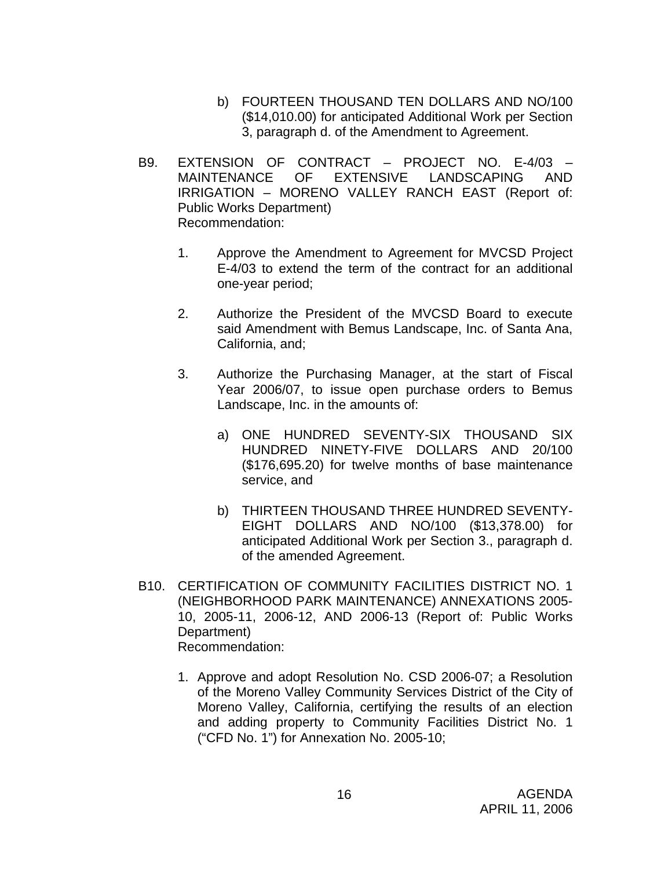- b) FOURTEEN THOUSAND TEN DOLLARS AND NO/100 (\$14,010.00) for anticipated Additional Work per Section 3, paragraph d. of the Amendment to Agreement.
- B9. EXTENSION OF CONTRACT PROJECT NO. E-4/03 MAINTENANCE OF EXTENSIVE LANDSCAPING AND IRRIGATION – MORENO VALLEY RANCH EAST (Report of: Public Works Department) Recommendation:
	- 1. Approve the Amendment to Agreement for MVCSD Project E-4/03 to extend the term of the contract for an additional one-year period;
	- 2. Authorize the President of the MVCSD Board to execute said Amendment with Bemus Landscape, Inc. of Santa Ana, California, and;
	- 3. Authorize the Purchasing Manager, at the start of Fiscal Year 2006/07, to issue open purchase orders to Bemus Landscape, Inc. in the amounts of:
		- a) ONE HUNDRED SEVENTY-SIX THOUSAND SIX HUNDRED NINETY-FIVE DOLLARS AND 20/100 (\$176,695.20) for twelve months of base maintenance service, and
		- b) THIRTEEN THOUSAND THREE HUNDRED SEVENTY-EIGHT DOLLARS AND NO/100 (\$13,378.00) for anticipated Additional Work per Section 3., paragraph d. of the amended Agreement.
- B10. CERTIFICATION OF COMMUNITY FACILITIES DISTRICT NO. 1 (NEIGHBORHOOD PARK MAINTENANCE) ANNEXATIONS 2005- 10, 2005-11, 2006-12, AND 2006-13 (Report of: Public Works Department) Recommendation:
	- 1. Approve and adopt Resolution No. CSD 2006-07; a Resolution of the Moreno Valley Community Services District of the City of Moreno Valley, California, certifying the results of an election and adding property to Community Facilities District No. 1 ("CFD No. 1") for Annexation No. 2005-10;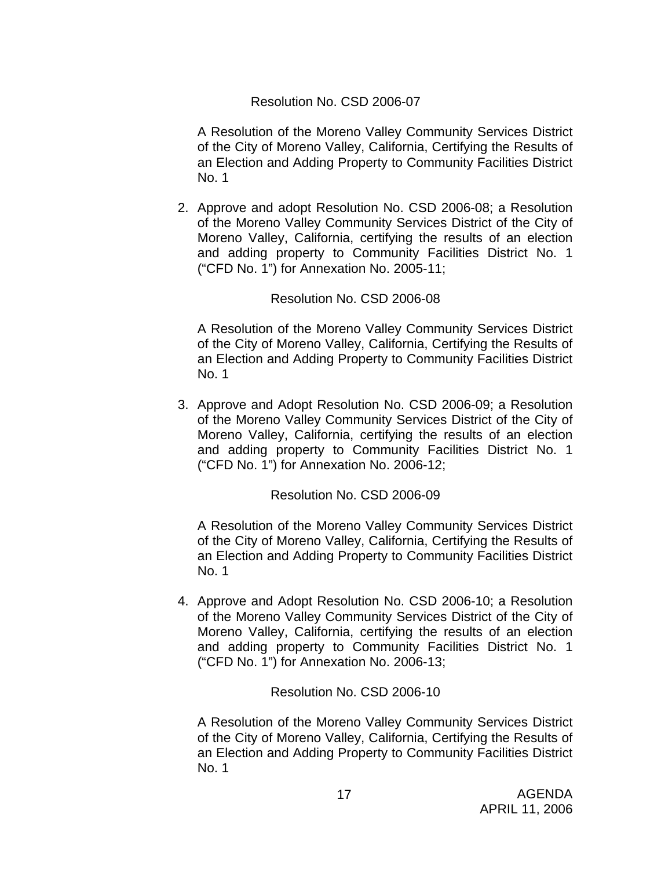# Resolution No. CSD 2006-07

A Resolution of the Moreno Valley Community Services District of the City of Moreno Valley, California, Certifying the Results of an Election and Adding Property to Community Facilities District No. 1

2. Approve and adopt Resolution No. CSD 2006-08; a Resolution of the Moreno Valley Community Services District of the City of Moreno Valley, California, certifying the results of an election and adding property to Community Facilities District No. 1 ("CFD No. 1") for Annexation No. 2005-11;

#### Resolution No. CSD 2006-08

A Resolution of the Moreno Valley Community Services District of the City of Moreno Valley, California, Certifying the Results of an Election and Adding Property to Community Facilities District No. 1

3. Approve and Adopt Resolution No. CSD 2006-09; a Resolution of the Moreno Valley Community Services District of the City of Moreno Valley, California, certifying the results of an election and adding property to Community Facilities District No. 1 ("CFD No. 1") for Annexation No. 2006-12;

## Resolution No. CSD 2006-09

A Resolution of the Moreno Valley Community Services District of the City of Moreno Valley, California, Certifying the Results of an Election and Adding Property to Community Facilities District No. 1

4. Approve and Adopt Resolution No. CSD 2006-10; a Resolution of the Moreno Valley Community Services District of the City of Moreno Valley, California, certifying the results of an election and adding property to Community Facilities District No. 1 ("CFD No. 1") for Annexation No. 2006-13;

## Resolution No. CSD 2006-10

A Resolution of the Moreno Valley Community Services District of the City of Moreno Valley, California, Certifying the Results of an Election and Adding Property to Community Facilities District No. 1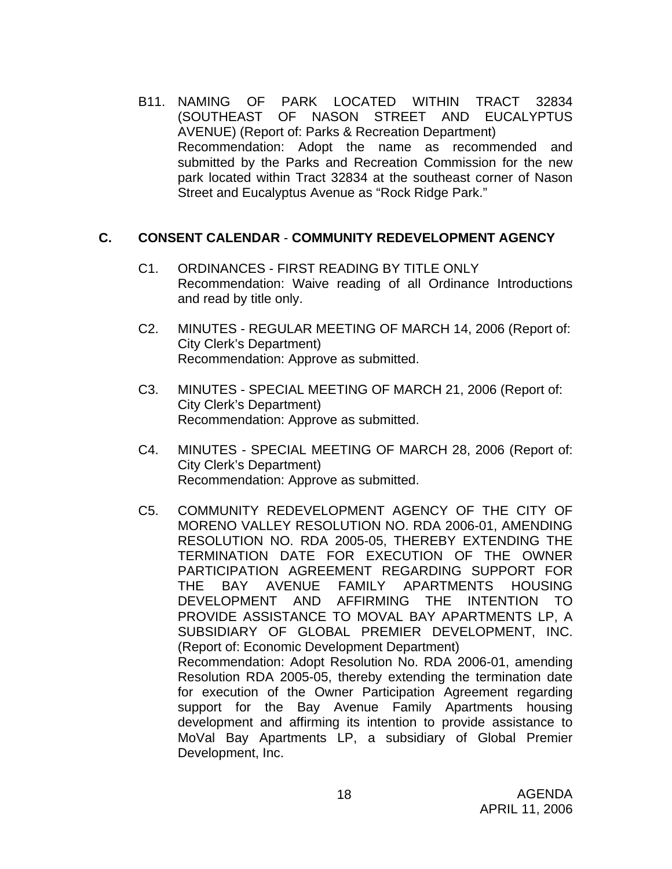B11. NAMING OF PARK LOCATED WITHIN TRACT 32834 (SOUTHEAST OF NASON STREET AND EUCALYPTUS AVENUE) (Report of: Parks & Recreation Department) Recommendation: Adopt the name as recommended and submitted by the Parks and Recreation Commission for the new park located within Tract 32834 at the southeast corner of Nason Street and Eucalyptus Avenue as "Rock Ridge Park."

## **C. CONSENT CALENDAR** - **COMMUNITY REDEVELOPMENT AGENCY**

- C1. ORDINANCES FIRST READING BY TITLE ONLY Recommendation: Waive reading of all Ordinance Introductions and read by title only.
- C2. MINUTES REGULAR MEETING OF MARCH 14, 2006 (Report of: City Clerk's Department) Recommendation: Approve as submitted.
- C3. MINUTES SPECIAL MEETING OF MARCH 21, 2006 (Report of: City Clerk's Department) Recommendation: Approve as submitted.
- C4. MINUTES SPECIAL MEETING OF MARCH 28, 2006 (Report of: City Clerk's Department) Recommendation: Approve as submitted.
- C5. COMMUNITY REDEVELOPMENT AGENCY OF THE CITY OF MORENO VALLEY RESOLUTION NO. RDA 2006-01, AMENDING RESOLUTION NO. RDA 2005-05, THEREBY EXTENDING THE TERMINATION DATE FOR EXECUTION OF THE OWNER PARTICIPATION AGREEMENT REGARDING SUPPORT FOR THE BAY AVENUE FAMILY APARTMENTS HOUSING DEVELOPMENT AND AFFIRMING THE INTENTION TO PROVIDE ASSISTANCE TO MOVAL BAY APARTMENTS LP, A SUBSIDIARY OF GLOBAL PREMIER DEVELOPMENT, INC. (Report of: Economic Development Department) Recommendation: Adopt Resolution No. RDA 2006-01, amending Resolution RDA 2005-05, thereby extending the termination date for execution of the Owner Participation Agreement regarding support for the Bay Avenue Family Apartments housing development and affirming its intention to provide assistance to MoVal Bay Apartments LP, a subsidiary of Global Premier Development, Inc.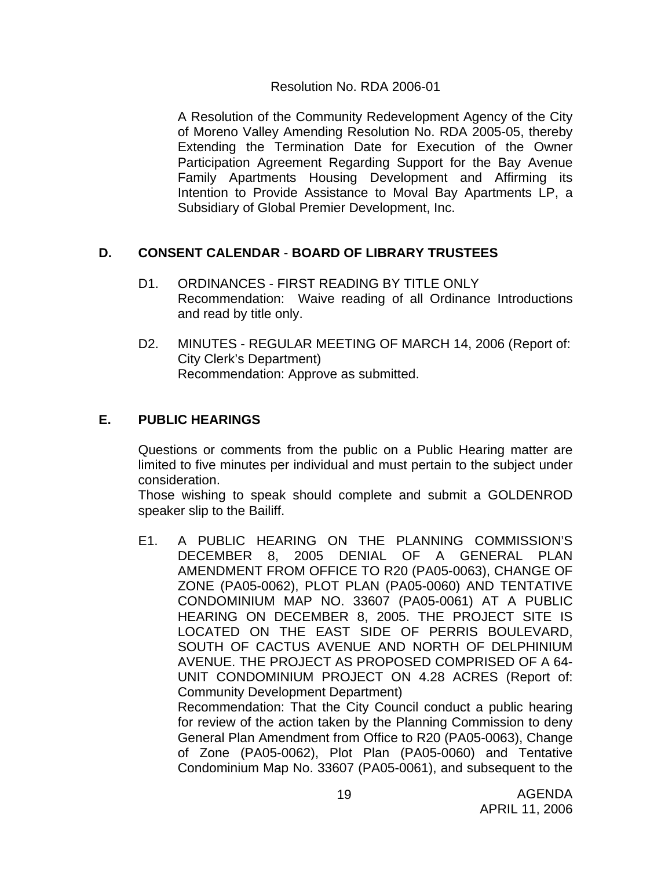## Resolution No. RDA 2006-01

A Resolution of the Community Redevelopment Agency of the City of Moreno Valley Amending Resolution No. RDA 2005-05, thereby Extending the Termination Date for Execution of the Owner Participation Agreement Regarding Support for the Bay Avenue Family Apartments Housing Development and Affirming its Intention to Provide Assistance to Moval Bay Apartments LP, a Subsidiary of Global Premier Development, Inc.

# **D. CONSENT CALENDAR** - **BOARD OF LIBRARY TRUSTEES**

- D1. ORDINANCES FIRST READING BY TITLE ONLY Recommendation: Waive reading of all Ordinance Introductions and read by title only.
- D2. MINUTES REGULAR MEETING OF MARCH 14, 2006 (Report of: City Clerk's Department) Recommendation: Approve as submitted.

# **E. PUBLIC HEARINGS**

Questions or comments from the public on a Public Hearing matter are limited to five minutes per individual and must pertain to the subject under consideration.

 Those wishing to speak should complete and submit a GOLDENROD speaker slip to the Bailiff.

E1. A PUBLIC HEARING ON THE PLANNING COMMISSION'S DECEMBER 8, 2005 DENIAL OF A GENERAL PLAN AMENDMENT FROM OFFICE TO R20 (PA05-0063), CHANGE OF ZONE (PA05-0062), PLOT PLAN (PA05-0060) AND TENTATIVE CONDOMINIUM MAP NO. 33607 (PA05-0061) AT A PUBLIC HEARING ON DECEMBER 8, 2005. THE PROJECT SITE IS LOCATED ON THE EAST SIDE OF PERRIS BOULEVARD, SOUTH OF CACTUS AVENUE AND NORTH OF DELPHINIUM AVENUE. THE PROJECT AS PROPOSED COMPRISED OF A 64- UNIT CONDOMINIUM PROJECT ON 4.28 ACRES (Report of: Community Development Department) Recommendation: That the City Council conduct a public hearing for review of the action taken by the Planning Commission to deny

General Plan Amendment from Office to R20 (PA05-0063), Change of Zone (PA05-0062), Plot Plan (PA05-0060) and Tentative Condominium Map No. 33607 (PA05-0061), and subsequent to the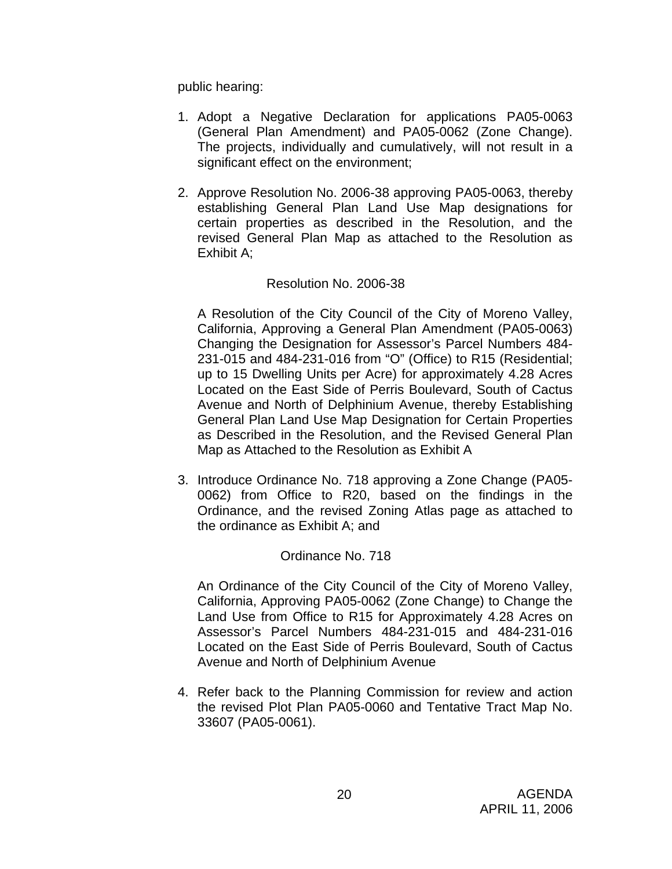public hearing:

- 1. Adopt a Negative Declaration for applications PA05-0063 (General Plan Amendment) and PA05-0062 (Zone Change). The projects, individually and cumulatively, will not result in a significant effect on the environment;
- 2. Approve Resolution No. 2006-38 approving PA05-0063, thereby establishing General Plan Land Use Map designations for certain properties as described in the Resolution, and the revised General Plan Map as attached to the Resolution as Exhibit A;

## Resolution No. 2006-38

A Resolution of the City Council of the City of Moreno Valley, California, Approving a General Plan Amendment (PA05-0063) Changing the Designation for Assessor's Parcel Numbers 484- 231-015 and 484-231-016 from "O" (Office) to R15 (Residential; up to 15 Dwelling Units per Acre) for approximately 4.28 Acres Located on the East Side of Perris Boulevard, South of Cactus Avenue and North of Delphinium Avenue, thereby Establishing General Plan Land Use Map Designation for Certain Properties as Described in the Resolution, and the Revised General Plan Map as Attached to the Resolution as Exhibit A

3. Introduce Ordinance No. 718 approving a Zone Change (PA05- 0062) from Office to R20, based on the findings in the Ordinance, and the revised Zoning Atlas page as attached to the ordinance as Exhibit A; and

#### Ordinance No. 718

An Ordinance of the City Council of the City of Moreno Valley, California, Approving PA05-0062 (Zone Change) to Change the Land Use from Office to R15 for Approximately 4.28 Acres on Assessor's Parcel Numbers 484-231-015 and 484-231-016 Located on the East Side of Perris Boulevard, South of Cactus Avenue and North of Delphinium Avenue

4. Refer back to the Planning Commission for review and action the revised Plot Plan PA05-0060 and Tentative Tract Map No. 33607 (PA05-0061).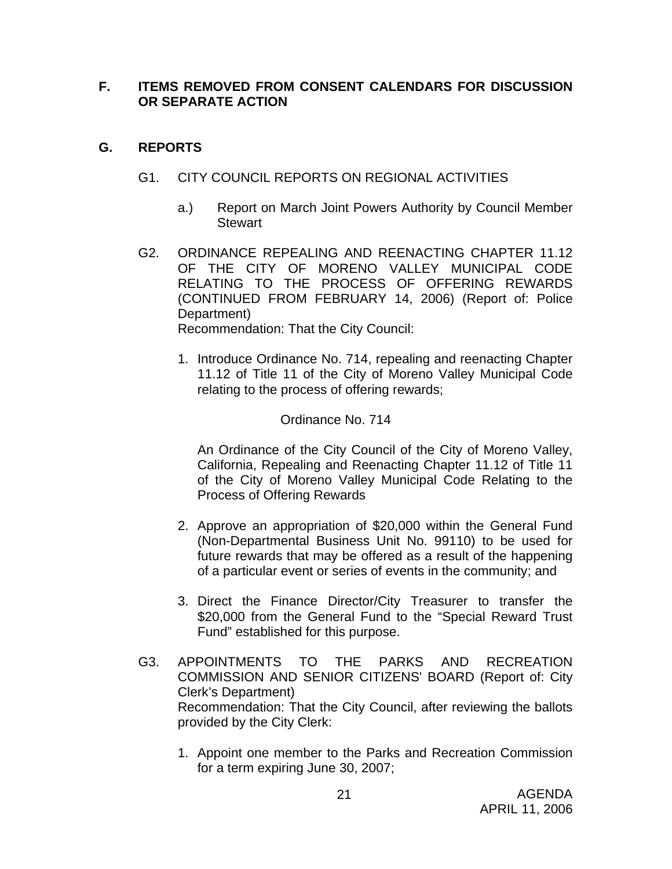# **F. ITEMS REMOVED FROM CONSENT CALENDARS FOR DISCUSSION OR SEPARATE ACTION**

# **G. REPORTS**

- G1. CITY COUNCIL REPORTS ON REGIONAL ACTIVITIES
	- a.) Report on March Joint Powers Authority by Council Member **Stewart**
- G2. ORDINANCE REPEALING AND REENACTING CHAPTER 11.12 OF THE CITY OF MORENO VALLEY MUNICIPAL CODE RELATING TO THE PROCESS OF OFFERING REWARDS (CONTINUED FROM FEBRUARY 14, 2006) (Report of: Police Department) Recommendation: That the City Council:
	- 1. Introduce Ordinance No. 714, repealing and reenacting Chapter 11.12 of Title 11 of the City of Moreno Valley Municipal Code relating to the process of offering rewards;

# Ordinance No. 714

An Ordinance of the City Council of the City of Moreno Valley, California, Repealing and Reenacting Chapter 11.12 of Title 11 of the City of Moreno Valley Municipal Code Relating to the Process of Offering Rewards

- 2. Approve an appropriation of \$20,000 within the General Fund (Non-Departmental Business Unit No. 99110) to be used for future rewards that may be offered as a result of the happening of a particular event or series of events in the community; and
- 3. Direct the Finance Director/City Treasurer to transfer the \$20,000 from the General Fund to the "Special Reward Trust Fund" established for this purpose.
- G3. APPOINTMENTS TO THE PARKS AND RECREATION COMMISSION AND SENIOR CITIZENS' BOARD (Report of: City Clerk's Department) Recommendation: That the City Council, after reviewing the ballots provided by the City Clerk:
	- 1. Appoint one member to the Parks and Recreation Commission for a term expiring June 30, 2007;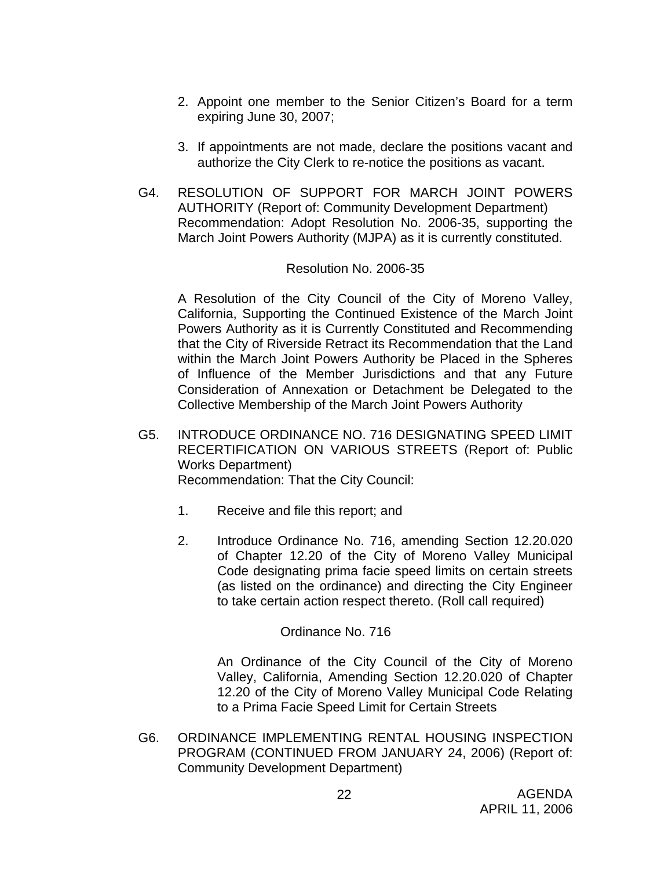- 2. Appoint one member to the Senior Citizen's Board for a term expiring June 30, 2007;
- 3. If appointments are not made, declare the positions vacant and authorize the City Clerk to re-notice the positions as vacant.
- G4. RESOLUTION OF SUPPORT FOR MARCH JOINT POWERS AUTHORITY (Report of: Community Development Department) Recommendation: Adopt Resolution No. 2006-35, supporting the March Joint Powers Authority (MJPA) as it is currently constituted.

#### Resolution No. 2006-35

A Resolution of the City Council of the City of Moreno Valley, California, Supporting the Continued Existence of the March Joint Powers Authority as it is Currently Constituted and Recommending that the City of Riverside Retract its Recommendation that the Land within the March Joint Powers Authority be Placed in the Spheres of Influence of the Member Jurisdictions and that any Future Consideration of Annexation or Detachment be Delegated to the Collective Membership of the March Joint Powers Authority

- G5. INTRODUCE ORDINANCE NO. 716 DESIGNATING SPEED LIMIT RECERTIFICATION ON VARIOUS STREETS (Report of: Public Works Department) Recommendation: That the City Council:
	- 1. Receive and file this report; and
	- 2. Introduce Ordinance No. 716, amending Section 12.20.020 of Chapter 12.20 of the City of Moreno Valley Municipal Code designating prima facie speed limits on certain streets (as listed on the ordinance) and directing the City Engineer to take certain action respect thereto. (Roll call required)

## Ordinance No. 716

An Ordinance of the City Council of the City of Moreno Valley, California, Amending Section 12.20.020 of Chapter 12.20 of the City of Moreno Valley Municipal Code Relating to a Prima Facie Speed Limit for Certain Streets

G6. ORDINANCE IMPLEMENTING RENTAL HOUSING INSPECTION PROGRAM (CONTINUED FROM JANUARY 24, 2006) (Report of: Community Development Department)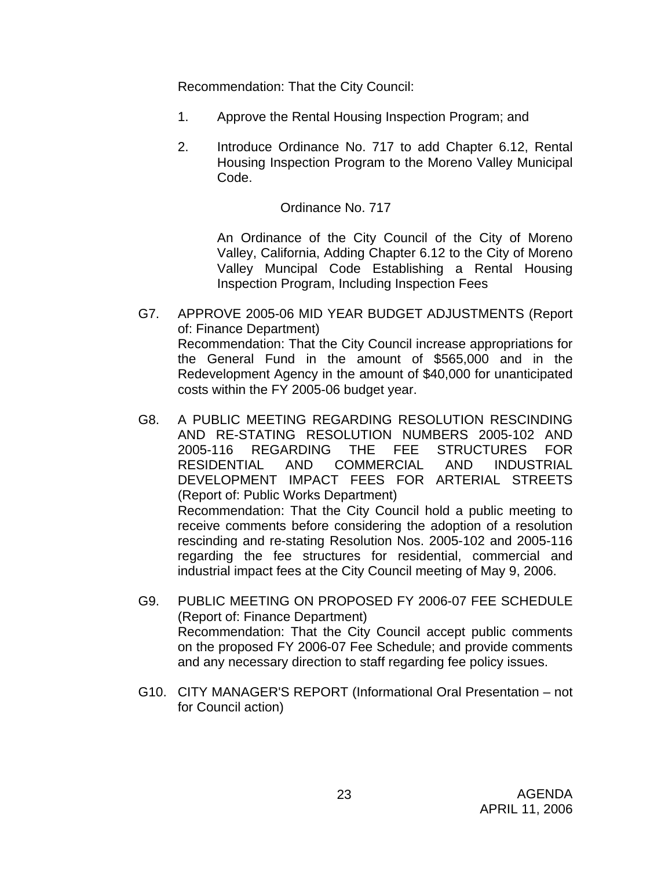Recommendation: That the City Council:

- 1. Approve the Rental Housing Inspection Program; and
- 2. Introduce Ordinance No. 717 to add Chapter 6.12, Rental Housing Inspection Program to the Moreno Valley Municipal Code.

# Ordinance No. 717

An Ordinance of the City Council of the City of Moreno Valley, California, Adding Chapter 6.12 to the City of Moreno Valley Muncipal Code Establishing a Rental Housing Inspection Program, Including Inspection Fees

- G7. APPROVE 2005-06 MID YEAR BUDGET ADJUSTMENTS (Report of: Finance Department) Recommendation: That the City Council increase appropriations for the General Fund in the amount of \$565,000 and in the Redevelopment Agency in the amount of \$40,000 for unanticipated costs within the FY 2005-06 budget year.
- G8. A PUBLIC MEETING REGARDING RESOLUTION RESCINDING AND RE-STATING RESOLUTION NUMBERS 2005-102 AND 2005-116 REGARDING THE FEE STRUCTURES FOR RESIDENTIAL AND COMMERCIAL AND INDUSTRIAL DEVELOPMENT IMPACT FEES FOR ARTERIAL STREETS (Report of: Public Works Department) Recommendation: That the City Council hold a public meeting to receive comments before considering the adoption of a resolution rescinding and re-stating Resolution Nos. 2005-102 and 2005-116 regarding the fee structures for residential, commercial and industrial impact fees at the City Council meeting of May 9, 2006.
- G9. PUBLIC MEETING ON PROPOSED FY 2006-07 FEE SCHEDULE (Report of: Finance Department) Recommendation: That the City Council accept public comments on the proposed FY 2006-07 Fee Schedule; and provide comments and any necessary direction to staff regarding fee policy issues.
- G10. CITY MANAGER'S REPORT (Informational Oral Presentation not for Council action)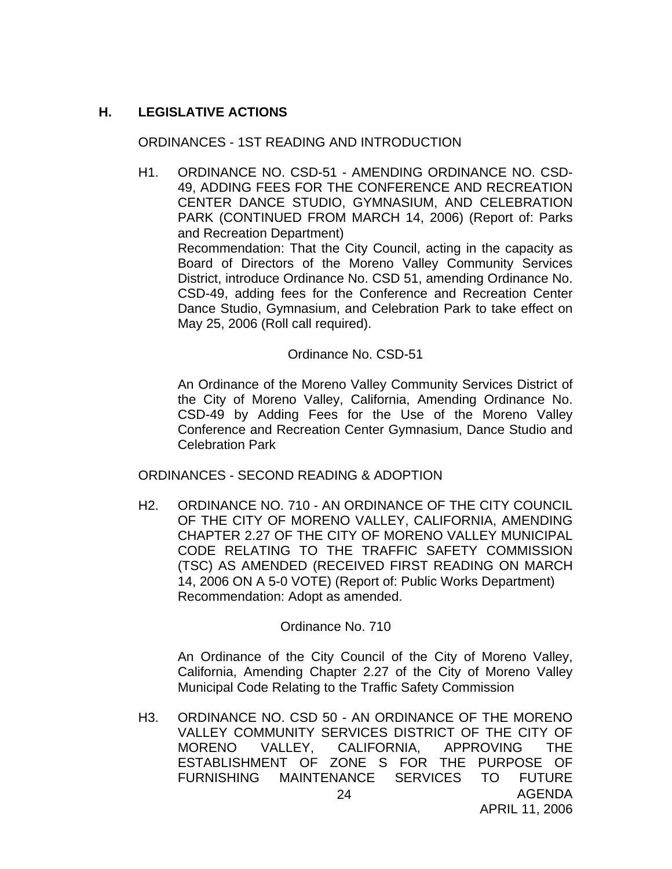# **H. LEGISLATIVE ACTIONS**

#### ORDINANCES - 1ST READING AND INTRODUCTION

H1. ORDINANCE NO. CSD-51 - AMENDING ORDINANCE NO. CSD-49, ADDING FEES FOR THE CONFERENCE AND RECREATION CENTER DANCE STUDIO, GYMNASIUM, AND CELEBRATION PARK (CONTINUED FROM MARCH 14, 2006) (Report of: Parks and Recreation Department) Recommendation: That the City Council, acting in the capacity as Board of Directors of the Moreno Valley Community Services District, introduce Ordinance No. CSD 51, amending Ordinance No. CSD-49, adding fees for the Conference and Recreation Center Dance Studio, Gymnasium, and Celebration Park to take effect on May 25, 2006 (Roll call required).

#### Ordinance No. CSD-51

 An Ordinance of the Moreno Valley Community Services District of the City of Moreno Valley, California, Amending Ordinance No. CSD-49 by Adding Fees for the Use of the Moreno Valley Conference and Recreation Center Gymnasium, Dance Studio and Celebration Park

ORDINANCES - SECOND READING & ADOPTION

H2. ORDINANCE NO. 710 - AN ORDINANCE OF THE CITY COUNCIL OF THE CITY OF MORENO VALLEY, CALIFORNIA, AMENDING CHAPTER 2.27 OF THE CITY OF MORENO VALLEY MUNICIPAL CODE RELATING TO THE TRAFFIC SAFETY COMMISSION (TSC) AS AMENDED (RECEIVED FIRST READING ON MARCH 14, 2006 ON A 5-0 VOTE) (Report of: Public Works Department) Recommendation: Adopt as amended.

## Ordinance No. 710

An Ordinance of the City Council of the City of Moreno Valley, California, Amending Chapter 2.27 of the City of Moreno Valley Municipal Code Relating to the Traffic Safety Commission

AGENDA 24 H3. ORDINANCE NO. CSD 50 - AN ORDINANCE OF THE MORENO VALLEY COMMUNITY SERVICES DISTRICT OF THE CITY OF MORENO VALLEY, CALIFORNIA, APPROVING THE ESTABLISHMENT OF ZONE S FOR THE PURPOSE OF FURNISHING MAINTENANCE SERVICES TO FUTURE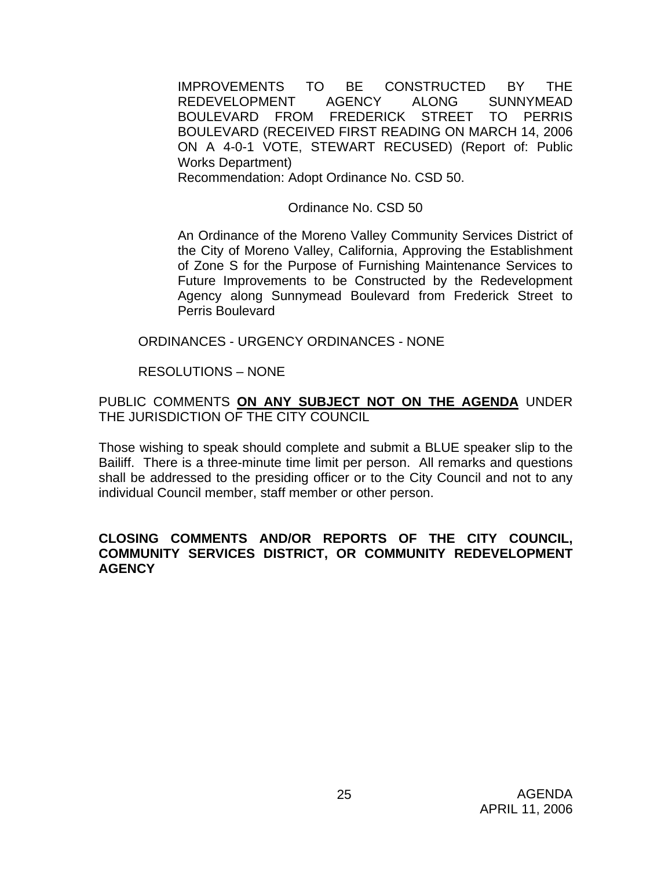IMPROVEMENTS TO BE CONSTRUCTED BY THE REDEVELOPMENT AGENCY ALONG SUNNYMEAD BOULEVARD FROM FREDERICK STREET TO PERRIS BOULEVARD (RECEIVED FIRST READING ON MARCH 14, 2006 ON A 4-0-1 VOTE, STEWART RECUSED) (Report of: Public Works Department)

Recommendation: Adopt Ordinance No. CSD 50.

Ordinance No. CSD 50

An Ordinance of the Moreno Valley Community Services District of the City of Moreno Valley, California, Approving the Establishment of Zone S for the Purpose of Furnishing Maintenance Services to Future Improvements to be Constructed by the Redevelopment Agency along Sunnymead Boulevard from Frederick Street to Perris Boulevard

ORDINANCES - URGENCY ORDINANCES - NONE

RESOLUTIONS – NONE

PUBLIC COMMENTS **ON ANY SUBJECT NOT ON THE AGENDA** UNDER THE JURISDICTION OF THE CITY COUNCIL

Those wishing to speak should complete and submit a BLUE speaker slip to the Bailiff. There is a three-minute time limit per person. All remarks and questions shall be addressed to the presiding officer or to the City Council and not to any individual Council member, staff member or other person.

## **CLOSING COMMENTS AND/OR REPORTS OF THE CITY COUNCIL, COMMUNITY SERVICES DISTRICT, OR COMMUNITY REDEVELOPMENT AGENCY**